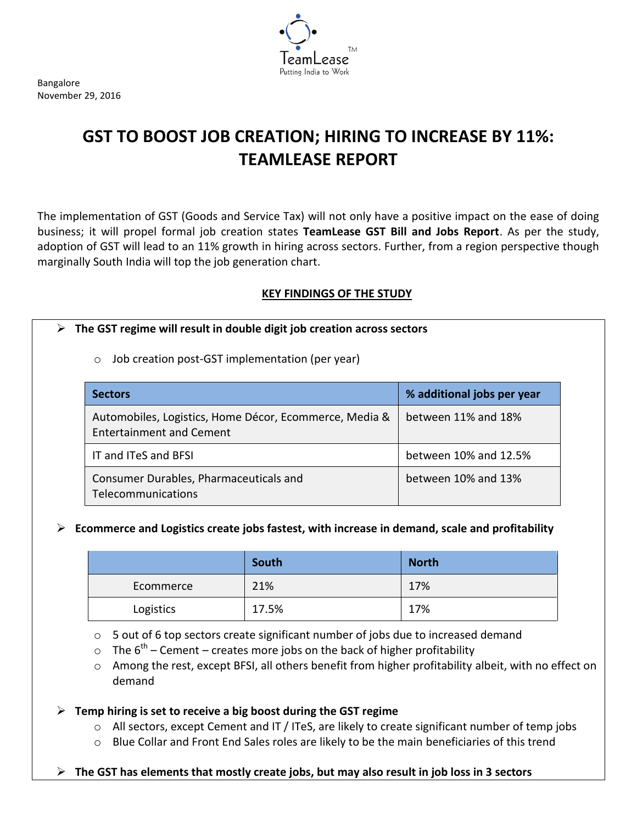Putting India to Work

Bangalore November 29, 2016

# **GST TO BOOST JOB CREATION; HIRING TO INCREASE BY 11%: TEAMLEASE REPORT**

The implementation of GST (Goods and Service Tax) will not only have a positive impact on the ease of doing business; it will propel formal job creation states **TeamLease GST Bill and Jobs Report**. As per the study, adoption of GST will lead to an 11% growth in hiring across sectors. Further, from a region perspective though marginally South India will top the job generation chart.

# **KEY FINDINGS OF THE STUDY**

## **The GST regime will result in double digit job creation across sectors**

## o Job creation post-GST implementation (per year)

| <b>Sectors</b>                                                                            | % additional jobs per year |
|-------------------------------------------------------------------------------------------|----------------------------|
| Automobiles, Logistics, Home Décor, Ecommerce, Media &<br><b>Entertainment and Cement</b> | between 11% and 18%        |
| IT and ITeS and BFSI                                                                      | between 10% and 12.5%      |
| Consumer Durables, Pharmaceuticals and<br>Telecommunications                              | between 10% and 13%        |

### **Ecommerce and Logistics create jobs fastest, with increase in demand, scale and profitability**

|           | South | <b>North</b> |
|-----------|-------|--------------|
| Ecommerce | 21%   | 17%          |
| Logistics | 17.5% | 17%          |

o 5 out of 6 top sectors create significant number of jobs due to increased demand

 $\circ$  The  $6<sup>th</sup>$  – Cement – creates more jobs on the back of higher profitability

o Among the rest, except BFSI, all others benefit from higher profitability albeit, with no effect on demand

**Temp hiring is set to receive a big boost during the GST regime**

- $\circ$  All sectors, except Cement and IT / ITeS, are likely to create significant number of temp jobs
- $\circ$  Blue Collar and Front End Sales roles are likely to be the main beneficiaries of this trend
- **The GST has elements that mostly create jobs, but may also result in job loss in 3 sectors**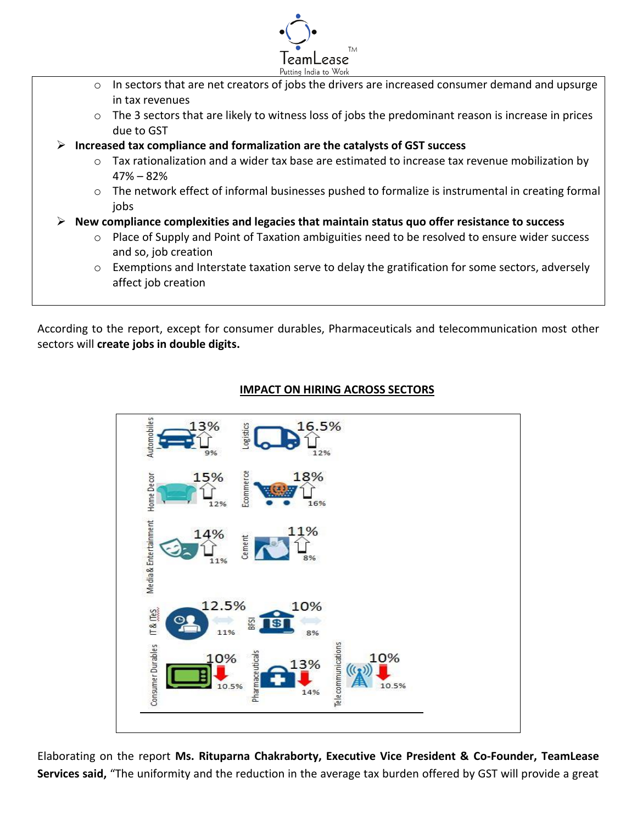

- o In sectors that are net creators of jobs the drivers are increased consumer demand and upsurge in tax revenues
- $\circ$  The 3 sectors that are likely to witness loss of jobs the predominant reason is increase in prices due to GST
- **Increased tax compliance and formalization are the catalysts of GST success**
	- $\circ$  Tax rationalization and a wider tax base are estimated to increase tax revenue mobilization by 47% – 82%
	- o The network effect of informal businesses pushed to formalize is instrumental in creating formal jobs
- **New compliance complexities and legacies that maintain status quo offer resistance to success**
	- o Place of Supply and Point of Taxation ambiguities need to be resolved to ensure wider success and so, job creation
	- $\circ$  Exemptions and Interstate taxation serve to delay the gratification for some sectors, adversely affect job creation

According to the report, except for consumer durables, Pharmaceuticals and telecommunication most other sectors will **create jobs in double digits.**

# **IMPACT ON HIRING ACROSS SECTORS**



Elaborating on the report **Ms. Rituparna Chakraborty, Executive Vice President & Co-Founder, TeamLease Services said,** "The uniformity and the reduction in the average tax burden offered by GST will provide a great